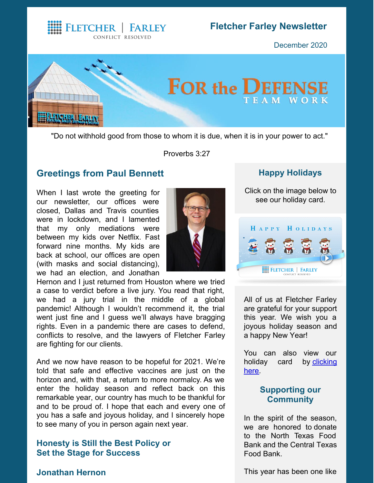CONFLICT RESOLVED

**HEELETCHER | FARLEY** 

## **Fletcher Farley Newsletter**

December 2020



"Do not withhold good from those to whom it is due, when it is in your power to act."

Proverbs 3:27

#### **Greetings from Paul [Bennett](https://www.fletcherfarley.com/attorneys-paul-bennett)**

When I last wrote the greeting for our newsletter, our offices were closed, Dallas and Travis counties were in lockdown, and I lamented that my only mediations were between my kids over Netflix. Fast forward nine months. My kids are back at school, our offices are open (with masks and social distancing), we had an election, and Jonathan



Hernon and I just returned from Houston where we tried a case to verdict before a live jury. You read that right, we had a jury trial in the middle of a global pandemic! Although I wouldn't recommend it, the trial went just fine and I guess we'll always have bragging rights. Even in a pandemic there are cases to defend, conflicts to resolve, and the lawyers of Fletcher Farley are fighting for our clients.

And we now have reason to be hopeful for 2021. We're told that safe and effective vaccines are just on the horizon and, with that, a return to more normalcy. As we enter the holiday season and reflect back on this remarkable year, our country has much to be thankful for and to be proud of. I hope that each and every one of you has a safe and joyous holiday, and I sincerely hope to see many of you in person again next year.

#### **Honesty is Still the Best Policy or Set the Stage for Success**

## **Happy Holidays**

Click on the image below to see our holiday card.



All of us at Fletcher Farley are grateful for your support this year. We wish you a joyous holiday season and a happy New Year!

You can also view our holiday card by [clicking](https://www.fletcherfarley.com/assets/htmldocuments/Fletcher-Farley-Holiday-Card-2020.mp4) here.

#### **Supporting our Community**

In the spirit of the season, we are honored to donate to the North Texas Food Bank and the Central Texas Food Bank.

**[Jonathan](https://www.fletcherfarley.com/attorneys-jonathan-hernon) Hernon**

This year has been one like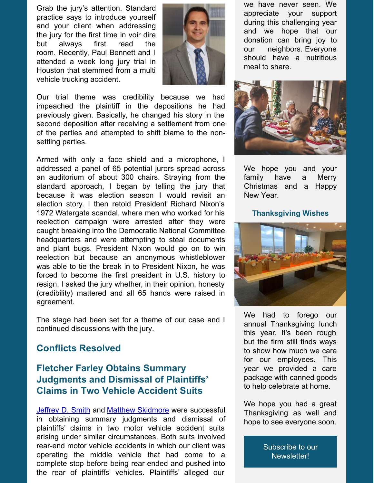Grab the jury's attention. Standard practice says to introduce yourself and your client when addressing the jury for the first time in voir dire but always first read the room. Recently, Paul Bennett and I attended a week long jury trial in Houston that stemmed from a multi vehicle trucking accident.



Our trial theme was credibility because we had impeached the plaintiff in the depositions he had previously given. Basically, he changed his story in the second deposition after receiving a settlement from one of the parties and attempted to shift blame to the nonsettling parties.

Armed with only a face shield and a microphone, I addressed a panel of 65 potential jurors spread across an auditorium of about 300 chairs. Straying from the standard approach, I began by telling the jury that because it was election season I would revisit an election story. I then retold President Richard Nixon's 1972 Watergate scandal, where men who worked for his reelection campaign were arrested after they were caught breaking into the Democratic National Committee headquarters and were attempting to steal documents and plant bugs. President Nixon would go on to win reelection but because an anonymous whistleblower was able to tie the break in to President Nixon, he was forced to become the first president in U.S. history to resign. I asked the jury whether, in their opinion, honesty (credibility) mattered and all 65 hands were raised in agreement.

The stage had been set for a theme of our case and I continued discussions with the jury.

## **Conflicts Resolved**

# **Fletcher Farley Obtains Summary Judgments and Dismissal of Plaintiffs' Claims in Two Vehicle Accident Suits**

[Jeffrey](https://www.fletcherfarley.com/attorneys-jeffrey-smith) D. Smith and Matthew [Skidmore](https://www.fletcherfarley.com/attorneys-matthew-skidmore) were successful in obtaining summary judgments and dismissal of plaintiffs' claims in two motor vehicle accident suits arising under similar circumstances. Both suits involved rear-end motor vehicle accidents in which our client was operating the middle vehicle that had come to a complete stop before being rear-ended and pushed into the rear of plaintiffs' vehicles. Plaintiffs' alleged our

we have never seen. We appreciate your support during this challenging year and we hope that our donation can bring joy to our neighbors. Everyone should have a nutritious meal to share.



We hope you and your family have a Merry Christmas and a Happy New Year.

#### **Thanksgiving Wishes**



We had to forego our annual Thanksgiving lunch this year. It's been rough but the firm still finds ways to show how much we care for our employees. This year we provided a care package with canned goods to help celebrate at home.

We hope you had a great Thanksgiving as well and hope to see everyone soon.

> Subscribe to our [Newsletter!](https://visitor.r20.constantcontact.com/manage/optin?v=001ReNyPK_Ooy-N1IczvfISY0JqHfO07kqs)